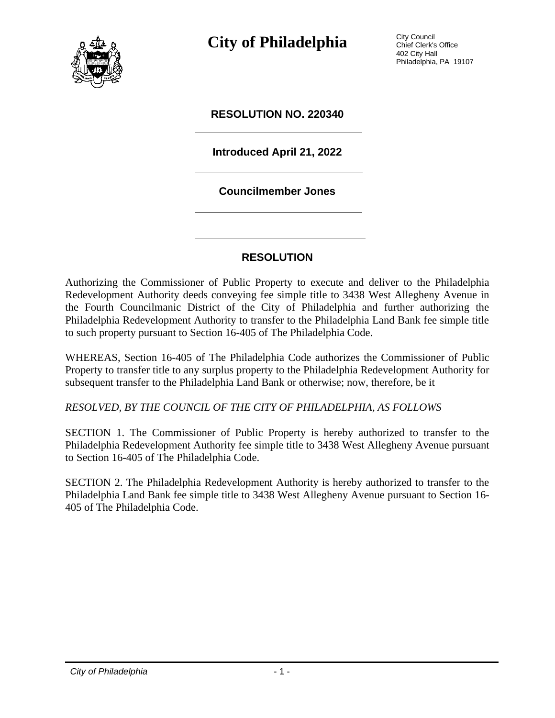

**City of Philadelphia** City Council

Chief Clerk's Office 402 City Hall Philadelphia, PA 19107

## **RESOLUTION NO. 220340**

# **Introduced April 21, 2022**

#### **Councilmember Jones**

## **RESOLUTION**

Authorizing the Commissioner of Public Property to execute and deliver to the Philadelphia Redevelopment Authority deeds conveying fee simple title to 3438 West Allegheny Avenue in the Fourth Councilmanic District of the City of Philadelphia and further authorizing the Philadelphia Redevelopment Authority to transfer to the Philadelphia Land Bank fee simple title to such property pursuant to Section 16-405 of The Philadelphia Code.

WHEREAS, Section 16-405 of The Philadelphia Code authorizes the Commissioner of Public Property to transfer title to any surplus property to the Philadelphia Redevelopment Authority for subsequent transfer to the Philadelphia Land Bank or otherwise; now, therefore, be it

*RESOLVED, BY THE COUNCIL OF THE CITY OF PHILADELPHIA, AS FOLLOWS*

SECTION 1. The Commissioner of Public Property is hereby authorized to transfer to the Philadelphia Redevelopment Authority fee simple title to 3438 West Allegheny Avenue pursuant to Section 16-405 of The Philadelphia Code.

SECTION 2. The Philadelphia Redevelopment Authority is hereby authorized to transfer to the Philadelphia Land Bank fee simple title to 3438 West Allegheny Avenue pursuant to Section 16- 405 of The Philadelphia Code.